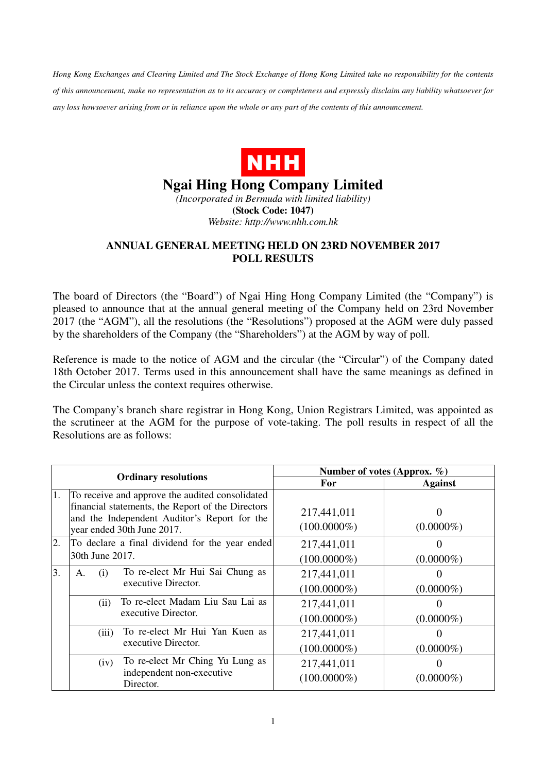*Hong Kong Exchanges and Clearing Limited and The Stock Exchange of Hong Kong Limited take no responsibility for the contents of this announcement, make no representation as to its accuracy or completeness and expressly disclaim any liability whatsoever for any loss howsoever arising from or in reliance upon the whole or any part of the contents of this announcement.* 



## **Ngai Hing Hong Company Limited**

*(Incorporated in Bermuda with limited liability)*  **(Stock Code: 1047)**  *Website: http://www.nhh.com.hk* 

## **ANNUAL GENERAL MEETING HELD ON 23RD NOVEMBER 2017 POLL RESULTS**

The board of Directors (the "Board") of Ngai Hing Hong Company Limited (the "Company") is pleased to announce that at the annual general meeting of the Company held on 23rd November 2017 (the "AGM"), all the resolutions (the "Resolutions") proposed at the AGM were duly passed by the shareholders of the Company (the "Shareholders") at the AGM by way of poll.

Reference is made to the notice of AGM and the circular (the "Circular") of the Company dated 18th October 2017. Terms used in this announcement shall have the same meanings as defined in the Circular unless the context requires otherwise.

The Company's branch share registrar in Hong Kong, Union Registrars Limited, was appointed as the scrutineer at the AGM for the purpose of vote-taking. The poll results in respect of all the Resolutions are as follows:

| <b>Ordinary resolutions</b> |                                                                                                   | Number of votes (Approx. $\%$ ) |                |
|-----------------------------|---------------------------------------------------------------------------------------------------|---------------------------------|----------------|
|                             |                                                                                                   | <b>For</b>                      | <b>Against</b> |
| 1.                          | To receive and approve the audited consolidated                                                   |                                 |                |
|                             | financial statements, the Report of the Directors<br>and the Independent Auditor's Report for the | 217,441,011                     |                |
|                             | year ended 30th June 2017.                                                                        | $(100.0000\%)$                  | $(0.0000\%)$   |
| 2.                          | To declare a final dividend for the year ended                                                    | 217,441,011                     |                |
|                             | 30th June 2017.                                                                                   | $(100.0000\%)$                  | $(0.0000\%)$   |
| 3.                          | To re-elect Mr Hui Sai Chung as<br>(i)<br>А.<br>executive Director.                               | 217,441,011                     |                |
|                             |                                                                                                   | $(100.0000\%)$                  | $(0.0000\%)$   |
|                             | To re-elect Madam Liu Sau Lai as<br>(ii)<br>executive Director.                                   | 217,441,011                     |                |
|                             |                                                                                                   | $(100.0000\%)$                  | $(0.0000\%)$   |
|                             | To re-elect Mr Hui Yan Kuen as<br>(iii)<br>executive Director.                                    | 217,441,011                     |                |
|                             |                                                                                                   | $(100.0000\%)$                  | $(0.0000\%)$   |
|                             | To re-elect Mr Ching Yu Lung as<br>(iv)                                                           | 217,441,011                     |                |
|                             | independent non-executive<br>Director.                                                            | $(100.0000\%)$                  | $(0.0000\%)$   |